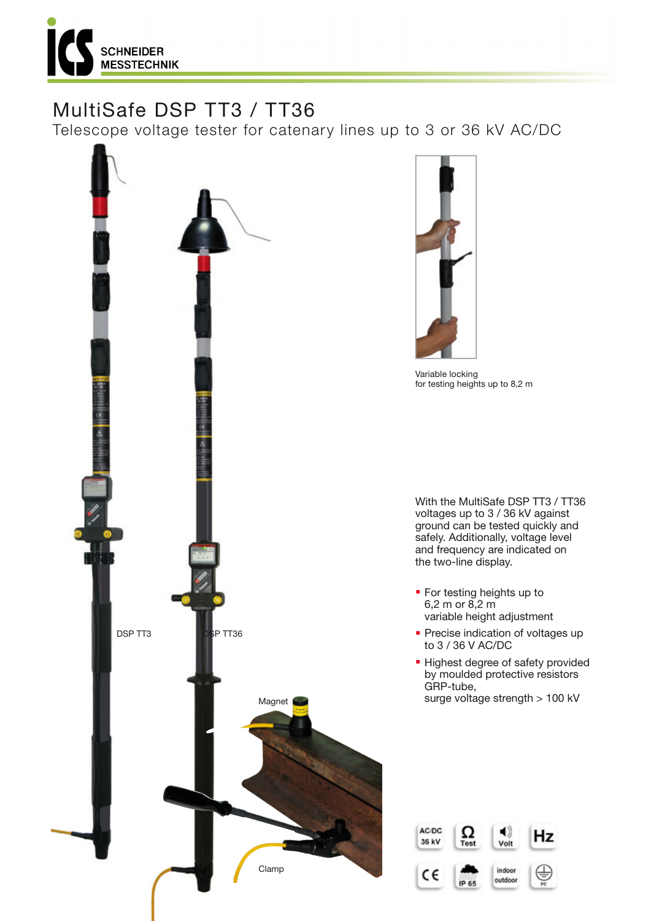

# MultiSafe DSP TT3 / TT36

Telescope voltage tester for catenary lines up to 3 or 36 kV AC/DC





Variable locking for testing heights up to 8,2 m

With the MultiSafe DSP TT3 / TT36 voltages up to 3 / 36 kV against ground can be tested quickly and safely. Additionally, voltage level and frequency are indicated on the two-line display.

- **For testing heights up to** 6,2 m or 8,2 m variable height adjustment
- **Precise indication of voltages up** to 3 / 36 V AC/DC
- **· Highest degree of safety provided** by moulded protective resistors GRP-tube, surge voltage strength > 100 kV